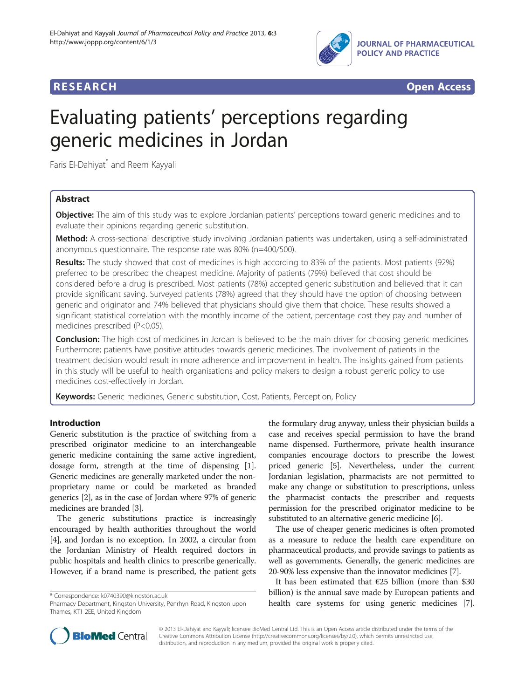

**RESEARCH RESEARCH** *CHECK CHECK CHECK CHECK CHECK CHECK CHECK CHECK CHECK CHECK CHECK CHECK CHECK CHECK CHECK CHECK CHECK CHECK CHECK CHECK CHECK CHECK CHECK CHECK CHECK CHECK CHECK CHECK CHECK CHECK CHECK CHECK CHECK* 

# Evaluating patients' perceptions regarding generic medicines in Jordan

Faris El-Dahiyat<sup>\*</sup> and Reem Kayyali

# Abstract

**Objective:** The aim of this study was to explore Jordanian patients' perceptions toward generic medicines and to evaluate their opinions regarding generic substitution.

Method: A cross-sectional descriptive study involving Jordanian patients was undertaken, using a self-administrated anonymous questionnaire. The response rate was 80% (n=400/500).

Results: The study showed that cost of medicines is high according to 83% of the patients. Most patients (92%) preferred to be prescribed the cheapest medicine. Majority of patients (79%) believed that cost should be considered before a drug is prescribed. Most patients (78%) accepted generic substitution and believed that it can provide significant saving. Surveyed patients (78%) agreed that they should have the option of choosing between generic and originator and 74% believed that physicians should give them that choice. These results showed a significant statistical correlation with the monthly income of the patient, percentage cost they pay and number of medicines prescribed (P<0.05).

**Conclusion:** The high cost of medicines in Jordan is believed to be the main driver for choosing generic medicines Furthermore; patients have positive attitudes towards generic medicines. The involvement of patients in the treatment decision would result in more adherence and improvement in health. The insights gained from patients in this study will be useful to health organisations and policy makers to design a robust generic policy to use medicines cost-effectively in Jordan.

Keywords: Generic medicines, Generic substitution, Cost, Patients, Perception, Policy

# Introduction

Generic substitution is the practice of switching from a prescribed originator medicine to an interchangeable generic medicine containing the same active ingredient, dosage form, strength at the time of dispensing [[1](#page-6-0)]. Generic medicines are generally marketed under the nonproprietary name or could be marketed as branded generics [\[2](#page-6-0)], as in the case of Jordan where 97% of generic medicines are branded [[3\]](#page-6-0).

[[4\]](#page-6-0), and Jordan is no exception. In 2002, a circular from The generic substitutions practice is increasingly encouraged by health authorities throughout the world the Jordanian Ministry of Health required doctors in public hospitals and health clinics to prescribe generically. However, if a brand name is prescribed, the patient gets

\* Correspondence: [k0740390@kingston.ac.uk](mailto:k0740390@kingston.ac.uk)

the formulary drug anyway, unless their physician builds a case and receives special permission to have the brand name dispensed. Furthermore, private health insurance companies encourage doctors to prescribe the lowest priced generic [[5](#page-6-0)]. Nevertheless, under the current Jordanian legislation, pharmacists are not permitted to make any change or substitution to prescriptions, unless the pharmacist contacts the prescriber and requests permission for the prescribed originator medicine to be substituted to an alternative generic medicine [\[6](#page-6-0)].

The use of cheaper generic medicines is often promoted as a measure to reduce the health care expenditure on pharmaceutical products, and provide savings to patients as well as governments. Generally, the generic medicines are 20-90% less expensive than the innovator medicines [\[7](#page-6-0)].

It has been estimated that  $\epsilon$ 25 billion (more than \$30 billion) is the annual save made by European patients and health care systems for using generic medicines [[7](#page-6-0)].



© 2013 El-Dahiyat and Kayyali; licensee BioMed Central Ltd. This is an Open Access article distributed under the terms of the Creative Commons Attribution License (<http://creativecommons.org/licenses/by/2.0>), which permits unrestricted use, distribution, and reproduction in any medium, provided the original work is properly cited.

Pharmacy Department, Kingston University, Penrhyn Road, Kingston upon Thames, KT1 2EE, United Kingdom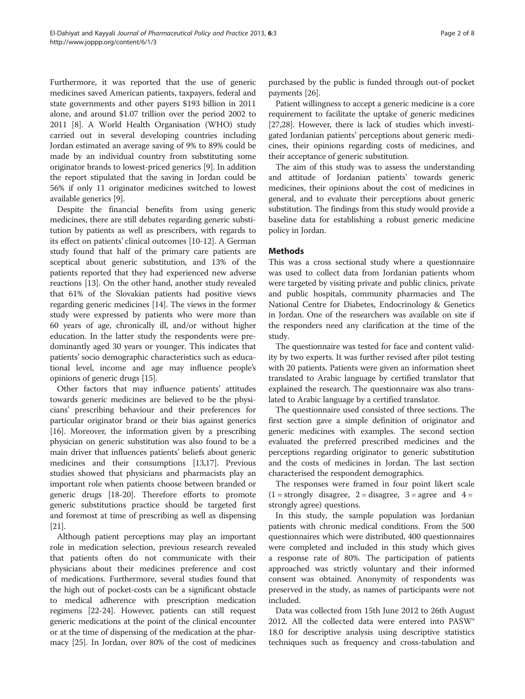Furthermore, it was reported that the use of generic medicines saved American patients, taxpayers, federal and state governments and other payers \$193 billion in 2011 alone, and around \$1.07 trillion over the period 2002 to 2011 [\[8](#page-6-0)]. A World Health Organisation (WHO) study carried out in several developing countries including Jordan estimated an average saving of 9% to 89% could be made by an individual country from substituting some originator brands to lowest-priced generics [[9\]](#page-6-0). In addition the report stipulated that the saving in Jordan could be 56% if only 11 originator medicines switched to lowest available generics [[9](#page-6-0)].

Despite the financial benefits from using generic medicines, there are still debates regarding generic substitution by patients as well as prescribers, with regards to its effect on patients' clinical outcomes [\[10-12](#page-6-0)]. A German study found that half of the primary care patients are sceptical about generic substitution, and 13% of the patients reported that they had experienced new adverse reactions [\[13\]](#page-6-0). On the other hand, another study revealed that 61% of the Slovakian patients had positive views regarding generic medicines [[14](#page-6-0)]. The views in the former study were expressed by patients who were more than 60 years of age, chronically ill, and/or without higher education. In the latter study the respondents were predominantly aged 30 years or younger. This indicates that patients' socio demographic characteristics such as educational level, income and age may influence people's opinions of generic drugs [[15](#page-6-0)].

Other factors that may influence patients' attitudes towards generic medicines are believed to be the physicians' prescribing behaviour and their preferences for particular originator brand or their bias against generics [[16](#page-6-0)]. Moreover, the information given by a prescribing physician on generic substitution was also found to be a main driver that influences patients' beliefs about generic medicines and their consumptions [[13,17](#page-6-0)]. Previous studies showed that physicians and pharmacists play an important role when patients choose between branded or generic drugs [[18](#page-6-0)-[20\]](#page-6-0). Therefore efforts to promote generic substitutions practice should be targeted first and foremost at time of prescribing as well as dispensing [[21](#page-6-0)].

Although patient perceptions may play an important role in medication selection, previous research revealed that patients often do not communicate with their physicians about their medicines preference and cost of medications. Furthermore, several studies found that the high out of pocket-costs can be a significant obstacle to medical adherence with prescription medication regimens [[22-24\]](#page-6-0). However, patients can still request generic medications at the point of the clinical encounter or at the time of dispensing of the medication at the pharmacy [[25](#page-6-0)]. In Jordan, over 80% of the cost of medicines

purchased by the public is funded through out-of pocket payments [[26](#page-6-0)].

Patient willingness to accept a generic medicine is a core requirement to facilitate the uptake of generic medicines [[27](#page-6-0),[28](#page-6-0)]. However, there is lack of studies which investigated Jordanian patients' perceptions about generic medicines, their opinions regarding costs of medicines, and their acceptance of generic substitution.

The aim of this study was to assess the understanding and attitude of Jordanian patients' towards generic medicines, their opinions about the cost of medicines in general, and to evaluate their perceptions about generic substitution. The findings from this study would provide a baseline data for establishing a robust generic medicine policy in Jordan.

# **Methods**

This was a cross sectional study where a questionnaire was used to collect data from Jordanian patients whom were targeted by visiting private and public clinics, private and public hospitals, community pharmacies and The National Centre for Diabetes, Endocrinology & Genetics in Jordan. One of the researchers was available on site if the responders need any clarification at the time of the study.

The questionnaire was tested for face and content validity by two experts. It was further revised after pilot testing with 20 patients. Patients were given an information sheet translated to Arabic language by certified translator that explained the research. The questionnaire was also translated to Arabic language by a certified translator.

The questionnaire used consisted of three sections. The first section gave a simple definition of originator and generic medicines with examples. The second section evaluated the preferred prescribed medicines and the perceptions regarding originator to generic substitution and the costs of medicines in Jordan. The last section characterised the respondent demographics.

The responses were framed in four point likert scale  $(1 = \text{strongly} \text{ disagree}, 2 = \text{disagree}, 3 = \text{agree} \text{ and } 4 =$ strongly agree) questions.

In this study, the sample population was Jordanian patients with chronic medical conditions. From the 500 questionnaires which were distributed, 400 questionnaires were completed and included in this study which gives a response rate of 80%. The participation of patients approached was strictly voluntary and their informed consent was obtained. Anonymity of respondents was preserved in the study, as names of participants were not included.

Data was collected from 15th June 2012 to 26th August 2012. All the collected data were entered into PASW® 18.0 for descriptive analysis using descriptive statistics techniques such as frequency and cross-tabulation and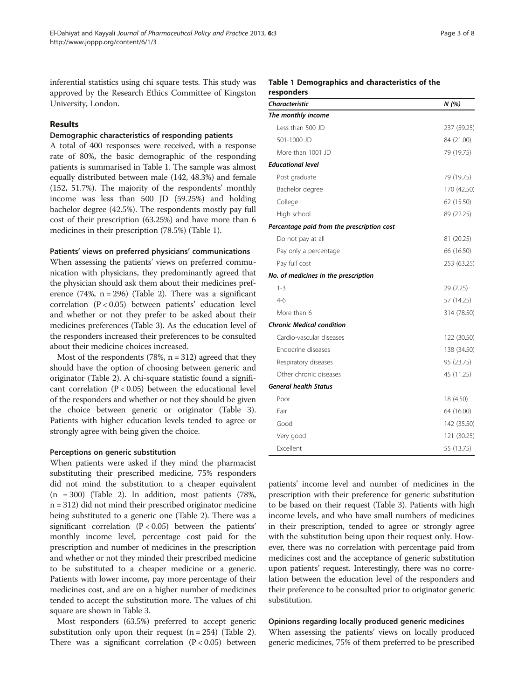inferential statistics using chi square tests. This study was approved by the Research Ethics Committee of Kingston University, London.

# Results

#### Demographic characteristics of responding patients

A total of 400 responses were received, with a response rate of 80%, the basic demographic of the responding patients is summarised in Table 1. The sample was almost equally distributed between male (142, 48.3%) and female (152, 51.7%). The majority of the respondents' monthly income was less than 500 JD (59.25%) and holding bachelor degree (42.5%). The respondents mostly pay full cost of their prescription (63.25%) and have more than 6 medicines in their prescription (78.5%) (Table 1).

#### Patients' views on preferred physicians' communications

When assessing the patients' views on preferred communication with physicians, they predominantly agreed that the physician should ask them about their medicines preference  $(74\%, n = 296)$  (Table [2\)](#page-3-0). There was a significant correlation (P < 0.05) between patients' education level and whether or not they prefer to be asked about their medicines preferences (Table [3](#page-4-0)). As the education level of the responders increased their preferences to be consulted about their medicine choices increased.

Most of the respondents (78%,  $n = 312$ ) agreed that they should have the option of choosing between generic and originator (Table [2](#page-3-0)). A chi-square statistic found a significant correlation  $(P < 0.05)$  between the educational level of the responders and whether or not they should be given the choice between generic or originator (Table [3](#page-4-0)). Patients with higher education levels tended to agree or strongly agree with being given the choice.

#### Perceptions on generic substitution

When patients were asked if they mind the pharmacist substituting their prescribed medicine, 75% responders did not mind the substitution to a cheaper equivalent  $(n = 300)$  (Table [2](#page-3-0)). In addition, most patients (78%, n = 312) did not mind their prescribed originator medicine being substituted to a generic one (Table [2](#page-3-0)). There was a significant correlation  $(P < 0.05)$  between the patients' monthly income level, percentage cost paid for the prescription and number of medicines in the prescription and whether or not they minded their prescribed medicine to be substituted to a cheaper medicine or a generic. Patients with lower income, pay more percentage of their medicines cost, and are on a higher number of medicines tended to accept the substitution more. The values of chi square are shown in Table [3.](#page-4-0)

Most responders (63.5%) preferred to accept generic substitution only upon their request  $(n = 254)$  $(n = 254)$  $(n = 254)$  (Table 2). There was a significant correlation  $(P < 0.05)$  between

#### Table 1 Demographics and characteristics of the responders

| <b>Characteristic</b>                      | N(%)        |
|--------------------------------------------|-------------|
| The monthly income                         |             |
| Less than 500 JD                           | 237 (59.25) |
| 501-1000 JD                                | 84 (21.00)  |
| More than 1001 JD                          | 79 (19.75)  |
| <b>Educational level</b>                   |             |
| Post graduate                              | 79 (19.75)  |
| Bachelor degree                            | 170 (42.50) |
| College                                    | 62 (15.50)  |
| High school                                | 89 (22.25)  |
| Percentage paid from the prescription cost |             |
| Do not pay at all                          | 81 (20.25)  |
| Pay only a percentage                      | 66 (16.50)  |
| Pay full cost                              | 253 (63.25) |
| No. of medicines in the prescription       |             |
| $1 - 3$                                    | 29 (7.25)   |
| $4-6$                                      | 57 (14.25)  |
| More than 6                                | 314 (78.50) |
| <b>Chronic Medical condition</b>           |             |
| Cardio-vascular diseases                   | 122 (30.50) |
| Endocrine diseases                         | 138 (34.50) |
| Respiratory diseases                       | 95 (23.75)  |
| Other chronic diseases                     | 45 (11.25)  |
| <b>General health Status</b>               |             |
| Poor                                       | 18 (4.50)   |
| Fair                                       | 64 (16.00)  |
| Good                                       | 142 (35.50) |
| Very good                                  | 121 (30.25) |
| Excellent                                  | 55 (13.75)  |

patients' income level and number of medicines in the prescription with their preference for generic substitution to be based on their request (Table [3](#page-4-0)). Patients with high income levels, and who have small numbers of medicines in their prescription, tended to agree or strongly agree with the substitution being upon their request only. However, there was no correlation with percentage paid from medicines cost and the acceptance of generic substitution upon patients' request. Interestingly, there was no correlation between the education level of the responders and their preference to be consulted prior to originator generic substitution.

### Opinions regarding locally produced generic medicines

When assessing the patients' views on locally produced generic medicines, 75% of them preferred to be prescribed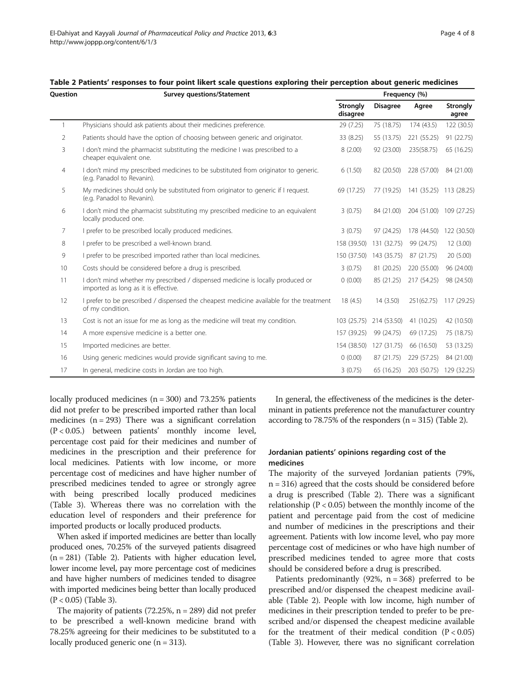|                 |                                                                                                                        | <b>Strongly</b><br>disagree | <b>Disagree</b> | Agree                   | <b>Strongly</b><br>agree |  |  |
|-----------------|------------------------------------------------------------------------------------------------------------------------|-----------------------------|-----------------|-------------------------|--------------------------|--|--|
| $\mathbf{1}$    | Physicians should ask patients about their medicines preference.                                                       | 29 (7.25)                   | 75 (18.75)      | 174 (43.5)              | 122(30.5)                |  |  |
| 2               | Patients should have the option of choosing between generic and originator.                                            | 33 (8.25)                   | 55 (13.75)      | 221 (55.25)             | 91 (22.75)               |  |  |
| 3               | I don't mind the pharmacist substituting the medicine I was prescribed to a<br>cheaper equivalent one.                 | 8(2.00)                     | 92 (23.00)      | 235(58.75)              | 65 (16.25)               |  |  |
| $\overline{4}$  | I don't mind my prescribed medicines to be substituted from originator to generic.<br>(e.g. Panadol to Revanin).       | 6(1.50)                     | 82 (20.50)      | 228 (57.00)             | 84 (21.00)               |  |  |
| 5               | My medicines should only be substituted from originator to generic if I request.<br>(e.g. Panadol to Revanin).         | 69 (17.25)                  | 77 (19.25)      | 141 (35.25) 113 (28.25) |                          |  |  |
| 6               | I don't mind the pharmacist substituting my prescribed medicine to an equivalent<br>locally produced one.              | 3(0.75)                     | 84 (21.00)      | 204 (51.00)             | 109 (27.25)              |  |  |
| 7               | I prefer to be prescribed locally produced medicines.                                                                  | 3(0.75)                     | 97 (24.25)      | 178 (44.50)             | 122 (30.50)              |  |  |
| 8               | I prefer to be prescribed a well-known brand.                                                                          | 158 (39.50)                 | 131 (32.75)     | 99 (24.75)              | 12(3.00)                 |  |  |
| 9               | I prefer to be prescribed imported rather than local medicines.                                                        | 150 (37.50)                 | 143 (35.75)     | 87 (21.75)              | 20(5.00)                 |  |  |
| 10 <sup>°</sup> | Costs should be considered before a drug is prescribed.                                                                | 3(0.75)                     | 81 (20.25)      | 220 (55.00)             | 96 (24.00)               |  |  |
| 11              | I don't mind whether my prescribed / dispensed medicine is locally produced or<br>imported as long as it is effective. | 0(0.00)                     | 85 (21.25)      | 217 (54.25)             | 98 (24.50)               |  |  |
| 12              | I prefer to be prescribed / dispensed the cheapest medicine available for the treatment<br>of my condition.            | 18(4.5)                     | 14 (3.50)       | 251(62.75)              | 117 (29.25)              |  |  |
| 13              | Cost is not an issue for me as long as the medicine will treat my condition.                                           | 103 (25.75)                 | 214 (53.50)     | 41 (10.25)              | 42 (10.50)               |  |  |
| 14              | A more expensive medicine is a better one.                                                                             | 157 (39.25)                 | 99 (24.75)      | 69 (17.25)              | 75 (18.75)               |  |  |
| 15              | Imported medicines are better.                                                                                         | 154 (38.50)                 | 127 (31.75)     | 66 (16.50)              | 53 (13.25)               |  |  |
| 16              | Using generic medicines would provide significant saving to me.                                                        | 0(0.00)                     | 87 (21.75)      | 229 (57.25)             | 84 (21.00)               |  |  |
| 17              | In general, medicine costs in Jordan are too high.                                                                     | 3(0.75)                     | 65 (16.25)      | 203 (50.75)             | 129 (32.25)              |  |  |

<span id="page-3-0"></span>

| Table 2 Patients' responses to four point likert scale questions exploring their perception about generic medicines |  |  |  |  |
|---------------------------------------------------------------------------------------------------------------------|--|--|--|--|
|---------------------------------------------------------------------------------------------------------------------|--|--|--|--|

Question Survey questions/Statement Frequency (%)

locally produced medicines  $(n = 300)$  and 73.25% patients did not prefer to be prescribed imported rather than local medicines  $(n = 293)$  There was a significant correlation (P < 0.05.) between patients' monthly income level, percentage cost paid for their medicines and number of medicines in the prescription and their preference for local medicines. Patients with low income, or more percentage cost of medicines and have higher number of prescribed medicines tended to agree or strongly agree with being prescribed locally produced medicines (Table [3\)](#page-4-0). Whereas there was no correlation with the education level of responders and their preference for imported products or locally produced products.

When asked if imported medicines are better than locally produced ones, 70.25% of the surveyed patients disagreed (n = 281) (Table 2). Patients with higher education level, lower income level, pay more percentage cost of medicines and have higher numbers of medicines tended to disagree with imported medicines being better than locally produced (P < 0.05) (Table [3](#page-4-0)).

The majority of patients (72.25%, n = 289) did not prefer to be prescribed a well-known medicine brand with 78.25% agreeing for their medicines to be substituted to a locally produced generic one  $(n = 313)$ .

In general, the effectiveness of the medicines is the determinant in patients preference not the manufacturer country according to 78.75% of the responders (n = 315) (Table 2).

# Jordanian patients' opinions regarding cost of the medicines

The majority of the surveyed Jordanian patients (79%, n = 316) agreed that the costs should be considered before a drug is prescribed (Table 2). There was a significant relationship ( $P < 0.05$ ) between the monthly income of the patient and percentage paid from the cost of medicine and number of medicines in the prescriptions and their agreement. Patients with low income level, who pay more percentage cost of medicines or who have high number of prescribed medicines tended to agree more that costs should be considered before a drug is prescribed.

Patients predominantly  $(92\%, n = 368)$  preferred to be prescribed and/or dispensed the cheapest medicine available (Table 2). People with low income, high number of medicines in their prescription tended to prefer to be prescribed and/or dispensed the cheapest medicine available for the treatment of their medical condition  $(P < 0.05)$ (Table [3\)](#page-4-0). However, there was no significant correlation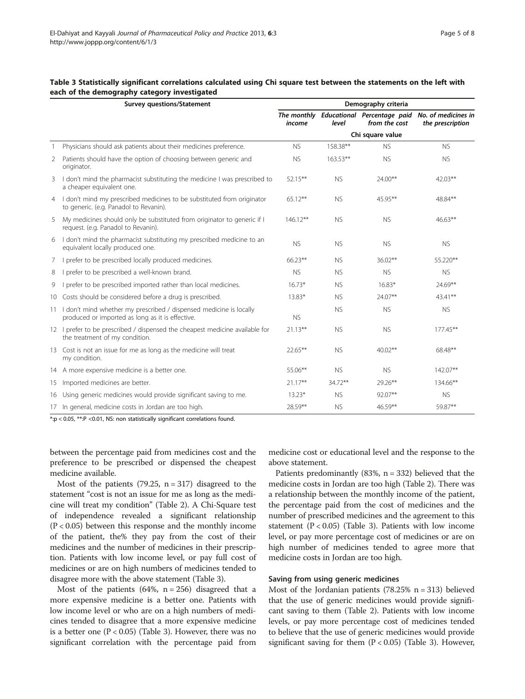|                | <b>Survey questions/Statement</b>                                                                                         | Demography criteria   |            |                                              |                                         |  |  |  |
|----------------|---------------------------------------------------------------------------------------------------------------------------|-----------------------|------------|----------------------------------------------|-----------------------------------------|--|--|--|
|                |                                                                                                                           | The monthly<br>income | level      | Educational Percentage paid<br>from the cost | No. of medicines in<br>the prescription |  |  |  |
|                |                                                                                                                           | Chi square value      |            |                                              |                                         |  |  |  |
| $\overline{1}$ | Physicians should ask patients about their medicines preference.                                                          |                       | 158.38**   | <b>NS</b>                                    | <b>NS</b>                               |  |  |  |
| 2              | Patients should have the option of choosing between generic and<br>originator.                                            | <b>NS</b>             | $163.53**$ | <b>NS</b>                                    | <b>NS</b>                               |  |  |  |
| 3              | I don't mind the pharmacist substituting the medicine I was prescribed to<br>a cheaper equivalent one.                    | $52.15***$            | <b>NS</b>  | 24.00**                                      | $42.03***$                              |  |  |  |
| 4              | I don't mind my prescribed medicines to be substituted from originator<br>to generic. (e.g. Panadol to Revanin).          | $65.12***$            | <b>NS</b>  | 45.95**                                      | 48.84**                                 |  |  |  |
| 5              | My medicines should only be substituted from originator to generic if I<br>request. (e.g. Panadol to Revanin).            | $146.12***$           | <b>NS</b>  | <b>NS</b>                                    | $46.63***$                              |  |  |  |
| 6              | I don't mind the pharmacist substituting my prescribed medicine to an<br>equivalent locally produced one.                 | <b>NS</b>             | <b>NS</b>  | <b>NS</b>                                    | <b>NS</b>                               |  |  |  |
| 7              | I prefer to be prescribed locally produced medicines.                                                                     | 66.23**               | <b>NS</b>  | $36.02**$                                    | 55.220**                                |  |  |  |
| 8              | prefer to be prescribed a well-known brand.                                                                               | <b>NS</b>             | <b>NS</b>  | <b>NS</b>                                    | <b>NS</b>                               |  |  |  |
| 9              | prefer to be prescribed imported rather than local medicines.                                                             | $16.73*$              | <b>NS</b>  | $16.83*$                                     | 24.69**                                 |  |  |  |
| 10             | Costs should be considered before a drug is prescribed.                                                                   | 13.83*                | <b>NS</b>  | 24.07**                                      | $43.41***$                              |  |  |  |
|                | 11 I don't mind whether my prescribed / dispensed medicine is locally<br>produced or imported as long as it is effective. | <b>NS</b>             | <b>NS</b>  | <b>NS</b>                                    | <b>NS</b>                               |  |  |  |
|                | 12 I prefer to be prescribed / dispensed the cheapest medicine available for<br>the treatment of my condition.            | $21.13***$            | <b>NS</b>  | <b>NS</b>                                    | $177.45***$                             |  |  |  |
|                | 13 Cost is not an issue for me as long as the medicine will treat<br>my condition.                                        | 22.65**               | <b>NS</b>  | $40.02**$                                    | 68.48**                                 |  |  |  |
|                | 14 A more expensive medicine is a better one.                                                                             | $55.06***$            | <b>NS</b>  | <b>NS</b>                                    | 142.07**                                |  |  |  |
|                | 15 Imported medicines are better.                                                                                         | $21.17***$            | 34.72**    | 29.26**                                      | 134.66**                                |  |  |  |
|                | 16 Using generic medicines would provide significant saving to me.                                                        | $13.23*$              | <b>NS</b>  | 92.07**                                      | <b>NS</b>                               |  |  |  |
|                | 17 In general, medicine costs in Jordan are too high.                                                                     | 28.59**               | <b>NS</b>  | 46.59**                                      | 59.87**                                 |  |  |  |

<span id="page-4-0"></span>

| Table 3 Statistically significant correlations calculated using Chi square test between the statements on the left with |  |  |  |  |  |  |
|-------------------------------------------------------------------------------------------------------------------------|--|--|--|--|--|--|
| each of the demography category investigated                                                                            |  |  |  |  |  |  |

\*:p < 0.05, \*\*:P <0.01, NS: non statistically significant correlations found.

between the percentage paid from medicines cost and the preference to be prescribed or dispensed the cheapest medicine available.

Most of the patients  $(79.25, n = 317)$  disagreed to the statement "cost is not an issue for me as long as the medicine will treat my condition" (Table [2](#page-3-0)). A Chi-Square test of independence revealed a significant relationship  $(P < 0.05)$  between this response and the monthly income of the patient, the% they pay from the cost of their medicines and the number of medicines in their prescription. Patients with low income level, or pay full cost of medicines or are on high numbers of medicines tended to disagree more with the above statement (Table 3).

Most of the patients  $(64\%, n = 256)$  disagreed that a more expensive medicine is a better one. Patients with low income level or who are on a high numbers of medicines tended to disagree that a more expensive medicine is a better one  $(P < 0.05)$  (Table 3). However, there was no significant correlation with the percentage paid from

medicine cost or educational level and the response to the above statement.

Patients predominantly  $(83\%, n = 332)$  believed that the medicine costs in Jordan are too high (Table [2](#page-3-0)). There was a relationship between the monthly income of the patient, the percentage paid from the cost of medicines and the number of prescribed medicines and the agreement to this statement  $(P < 0.05)$  (Table 3). Patients with low income level, or pay more percentage cost of medicines or are on high number of medicines tended to agree more that medicine costs in Jordan are too high.

### Saving from using generic medicines

Most of the Jordanian patients (78.25%  $n = 313$ ) believed that the use of generic medicines would provide significant saving to them (Table [2\)](#page-3-0). Patients with low income levels, or pay more percentage cost of medicines tended to believe that the use of generic medicines would provide significant saving for them  $(P < 0.05)$  (Table 3). However,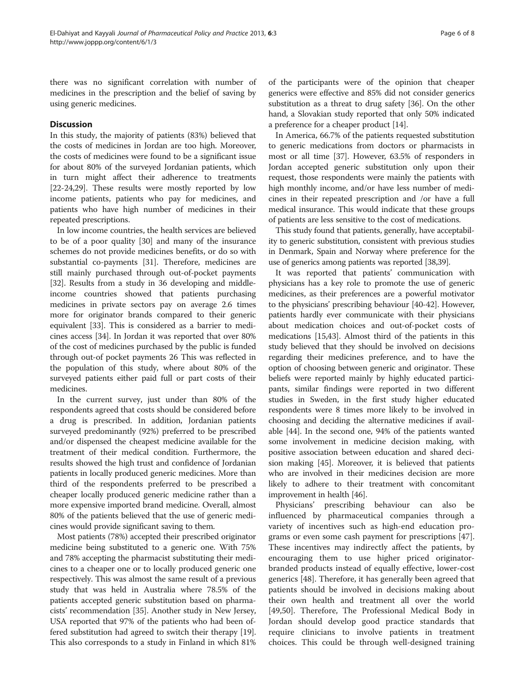there was no significant correlation with number of medicines in the prescription and the belief of saving by using generic medicines.

# **Discussion**

In this study, the majority of patients (83%) believed that the costs of medicines in Jordan are too high. Moreover, the costs of medicines were found to be a significant issue for about 80% of the surveyed Jordanian patients, which in turn might affect their adherence to treatments [[22](#page-6-0)-[24,29](#page-6-0)]. These results were mostly reported by low income patients, patients who pay for medicines, and patients who have high number of medicines in their repeated prescriptions.

In low income countries, the health services are believed to be of a poor quality [[30](#page-6-0)] and many of the insurance schemes do not provide medicines benefits, or do so with substantial co-payments [[31\]](#page-6-0). Therefore, medicines are still mainly purchased through out-of-pocket payments [[32](#page-6-0)]. Results from a study in 36 developing and middleincome countries showed that patients purchasing medicines in private sectors pay on average 2.6 times more for originator brands compared to their generic equivalent [[33\]](#page-6-0). This is considered as a barrier to medicines access [\[34\]](#page-7-0). In Jordan it was reported that over 80% of the cost of medicines purchased by the public is funded through out-of pocket payments 26 This was reflected in the population of this study, where about 80% of the surveyed patients either paid full or part costs of their medicines.

In the current survey, just under than 80% of the respondents agreed that costs should be considered before a drug is prescribed. In addition, Jordanian patients surveyed predominantly (92%) preferred to be prescribed and/or dispensed the cheapest medicine available for the treatment of their medical condition. Furthermore, the results showed the high trust and confidence of Jordanian patients in locally produced generic medicines. More than third of the respondents preferred to be prescribed a cheaper locally produced generic medicine rather than a more expensive imported brand medicine. Overall, almost 80% of the patients believed that the use of generic medicines would provide significant saving to them.

Most patients (78%) accepted their prescribed originator medicine being substituted to a generic one. With 75% and 78% accepting the pharmacist substituting their medicines to a cheaper one or to locally produced generic one respectively. This was almost the same result of a previous study that was held in Australia where 78.5% of the patients accepted generic substitution based on pharmacists' recommendation [[35](#page-7-0)]. Another study in New Jersey, USA reported that 97% of the patients who had been offered substitution had agreed to switch their therapy [[19](#page-6-0)]. This also corresponds to a study in Finland in which 81%

of the participants were of the opinion that cheaper generics were effective and 85% did not consider generics substitution as a threat to drug safety [\[36\]](#page-7-0). On the other hand, a Slovakian study reported that only 50% indicated a preference for a cheaper product [\[14\]](#page-6-0).

In America, 66.7% of the patients requested substitution to generic medications from doctors or pharmacists in most or all time [\[37](#page-7-0)]. However, 63.5% of responders in Jordan accepted generic substitution only upon their request, those respondents were mainly the patients with high monthly income, and/or have less number of medicines in their repeated prescription and /or have a full medical insurance. This would indicate that these groups of patients are less sensitive to the cost of medications.

This study found that patients, generally, have acceptability to generic substitution, consistent with previous studies in Denmark, Spain and Norway where preference for the use of generics among patients was reported [\[38,39](#page-7-0)].

It was reported that patients' communication with physicians has a key role to promote the use of generic medicines, as their preferences are a powerful motivator to the physicians' prescribing behaviour [\[40-42](#page-7-0)]. However, patients hardly ever communicate with their physicians about medication choices and out-of-pocket costs of medications [\[15,](#page-6-0)[43](#page-7-0)]. Almost third of the patients in this study believed that they should be involved on decisions regarding their medicines preference, and to have the option of choosing between generic and originator. These beliefs were reported mainly by highly educated participants, similar findings were reported in two different studies in Sweden, in the first study higher educated respondents were 8 times more likely to be involved in choosing and deciding the alternative medicines if available [[44](#page-7-0)]. In the second one, 94% of the patients wanted some involvement in medicine decision making, with positive association between education and shared decision making [\[45](#page-7-0)]. Moreover, it is believed that patients who are involved in their medicines decision are more likely to adhere to their treatment with concomitant improvement in health [\[46\]](#page-7-0).

Physicians' prescribing behaviour can also be influenced by pharmaceutical companies through a variety of incentives such as high-end education programs or even some cash payment for prescriptions [\[47](#page-7-0)]. These incentives may indirectly affect the patients, by encouraging them to use higher priced originatorbranded products instead of equally effective, lower-cost generics [[48\]](#page-7-0). Therefore, it has generally been agreed that patients should be involved in decisions making about their own health and treatment all over the world [[49,50\]](#page-7-0). Therefore, The Professional Medical Body in Jordan should develop good practice standards that require clinicians to involve patients in treatment choices. This could be through well-designed training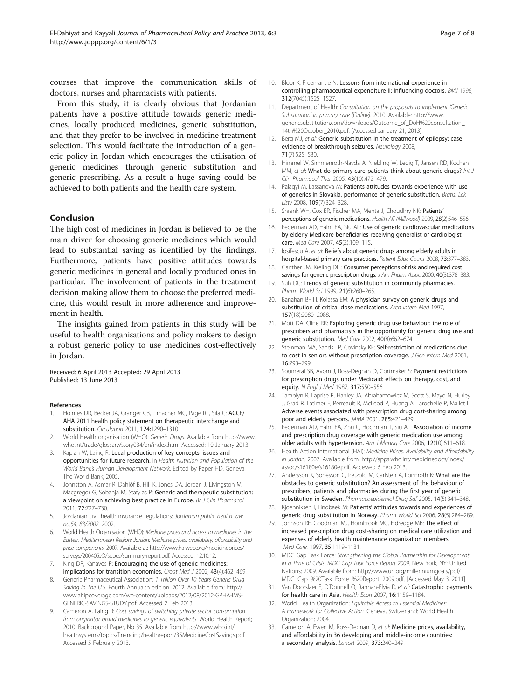<span id="page-6-0"></span>courses that improve the communication skills of doctors, nurses and pharmacists with patients.

From this study, it is clearly obvious that Jordanian patients have a positive attitude towards generic medicines, locally produced medicines, generic substitution, and that they prefer to be involved in medicine treatment selection. This would facilitate the introduction of a generic policy in Jordan which encourages the utilisation of generic medicines through generic substitution and generic prescribing. As a result a huge saving could be achieved to both patients and the health care system.

# Conclusion

The high cost of medicines in Jordan is believed to be the main driver for choosing generic medicines which would lead to substantial saving as identified by the findings. Furthermore, patients have positive attitudes towards generic medicines in general and locally produced ones in particular. The involvement of patients in the treatment decision making allow them to choose the preferred medicine, this would result in more adherence and improvement in health.

The insights gained from patients in this study will be useful to health organisations and policy makers to design a robust generic policy to use medicines cost-effectively in Jordan.

Received: 6 April 2013 Accepted: 29 April 2013 Published: 13 June 2013

#### References

- 1. Holmes DR, Becker JA, Granger CB, Limacher MC, Page RL, Sila C: ACCF/ AHA 2011 health policy statement on therapeutic interchange and substitution. Circulation 2011, 124:1290–1310.
- 2. World Health organisation (WHO): Generic Drugs. Available from [http://www.](http://www.who.int/trade/glossary/story034/en/index.html) [who.int/trade/glossary/story034/en/index.html](http://www.who.int/trade/glossary/story034/en/index.html) Accessed: 10 January 2013.
- 3. Kaplan W, Laing R: Local production of key concepts, issues and opportunities for future research. In Health Nutrition and Population of the World Bank's Human Development Network. Edited by Paper HD. Geneva: The World Bank; 2005.
- 4. Johnston A, Asmar R, Dahlöf B, Hill K, Jones DA, Jordan J, Livingston M, Macgregor G, Sobanja M, Stafylas P: Generic and therapeutic substitution: a viewpoint on achieving best practice in Europe. Br J Clin Pharmacol 2011, 72:727–730.
- 5. Jordanian civil health insurance regulations: Jordanian public health law no.54. 83/2002. 2002.
- 6. World Health Organisation (WHO): Medicine prices and access to medicines in the Eastern Mediterranean Region: Jordan: Medicine prices, availability, affordability and price components. 2007. Available at: [http://www.haiweb.org/medicineprices/](http://www.haiweb.org/medicineprices/surveys/200405JO/sdocs/summary-report.pdf) [surveys/200405JO/sdocs/summary-report.pdf](http://www.haiweb.org/medicineprices/surveys/200405JO/sdocs/summary-report.pdf). Accessed: 12.10.12.
- King DR, Kanavos P: Encouraging the use of generic medicines: implications for transition economies. Croat Med J 2002, 43(4):462-469.
- 8. Generic Pharmaceutical Association: 1 Trillion Over 10 Years Generic Drug Saving In The U.S. Fourth Annualth edition. 2012. Available from: [http://](http://www.ahipcoverage.com/wp-content/uploads/2012/08/2012-GPHA-IMS-GENERIC-SAVINGS-STUDY.pdf) [www.ahipcoverage.com/wp-content/uploads/2012/08/2012-GPHA-IMS-](http://www.ahipcoverage.com/wp-content/uploads/2012/08/2012-GPHA-IMS-GENERIC-SAVINGS-STUDY.pdf)[GENERIC-SAVINGS-STUDY.pdf.](http://www.ahipcoverage.com/wp-content/uploads/2012/08/2012-GPHA-IMS-GENERIC-SAVINGS-STUDY.pdf) Accessed 2 Feb 2013.
- Cameron A, Laing R: Cost savings of switching private sector consumption from originator brand medicines to generic equivalents. World Health Report; 2010. Background Paper, No 35. Available from [http://www.who.int/](http://www.who.int/healthsystems/topics/financing/healthreport/35MedicineCostSavings.pdf) [healthsystems/topics/financing/healthreport/35MedicineCostSavings.pdf.](http://www.who.int/healthsystems/topics/financing/healthreport/35MedicineCostSavings.pdf) Accessed 5 February 2013.
- 10. Bloor K, Freemantle N: Lessons from international experience in controlling pharmaceutical expenditure II: Influencing doctors. BMJ 1996, 312(7045):1525–1527.
- 11. Department of Health: Consultation on the proposals to implement 'Generic Substitution' in primary care [Online]. 2010. Available: [http://www.](http://www.genericsubstitution.com/downloads/Outcome_of_DoH%20consultation_14th%20October_2010.pdf) [genericsubstitution.com/downloads/Outcome\\_of\\_DoH%20consultation\\_](http://www.genericsubstitution.com/downloads/Outcome_of_DoH%20consultation_14th%20October_2010.pdf) [14th%20October\\_2010.pdf.](http://www.genericsubstitution.com/downloads/Outcome_of_DoH%20consultation_14th%20October_2010.pdf) [Accessed January 21, 2013].
- 12. Berg MJ, et al: Generic substitution in the treatment of epilepsy: case evidence of breakthrough seizures. Neurology 2008, 71(7):525–530.
- 13. Himmel W, Simmenroth-Nayda A, Niebling W, Ledig T, Jansen RD, Kochen MM, et al: What do primary care patients think about generic drugs? Int J Clin Pharmacol Ther 2005, 43(10):472–479.
- 14. Palagyi M, Lassanova M: Patients attitudes towards experience with use of generics in Slovakia, performance of generic substitution. Bratisl Lek Listy 2008, 109(7):324–328.
- 15. Shrank WH, Cox ER, Fischer MA, Mehta J, Choudhry NK: Patients' perceptions of generic medications. Health Aff (Millwood) 2009, 28(2):546-556.
- 16. Federman AD, Halm EA, Siu AL: Use of generic cardiovascular medications by elderly Medicare beneficiaries receiving generalist or cardiologist care. Med Care 2007, 45(2):109–115.
- 17. Iosifescu A, et al: Beliefs about generic drugs among elderly adults in hospital-based primary care practices. Patient Educ Couns 2008, 73:377–383.
- 18. Ganther JM, Kreling DH: Consumer perceptions of risk and required cost savings for generic prescription drugs. J Am Pharm Assoc 2000, 40(3):378-383.
- 19. Suh DC: Trends of generic substitution in community pharmacies. Pharm World Sci 1999, 21(6):260–265.
- 20. Banahan BF III, Kolassa EM: A physician survey on generic drugs and substitution of critical dose medications. Arch Intern Med 1997, 157(18):2080–2088.
- 21. Mott DA, Cline RR: Exploring generic drug use behaviour: the role of prescribers and pharmacists in the opportunity for generic drug use and generic substitution. Med Care 2002, 40(8):662–674.
- 22. Steinman MA, Sands LP, Covinsky KE: Self-restriction of medications due to cost in seniors without prescription coverage. J Gen Intern Med 2001, 16:793–799.
- 23. Soumerai SB, Avorn J, Ross-Degnan D, Gortmaker S: Payment restrictions for prescription drugs under Medicaid: effects on therapy, cost, and equity. N Engl J Med 1987, 317:550–556.
- 24. Tamblyn R, Laprise R, Hanley JA, Abrahamowicz M, Scott S, Mayo N, Hurley J, Grad R, Latimer E, Perreault R, McLeod P, Huang A, Larochelle P, Mallet L: Adverse events associated with prescription drug cost-sharing among poor and elderly persons. JAMA 2001, 285:421–429.
- 25. Federman AD, Halm EA, Zhu C, Hochman T, Siu AL: Association of income and prescription drug coverage with generic medication use among older adults with hypertension. Am J Manag Care 2006, 12(10):611–618.
- 26. Health Action International (HAI): Medicine Prices, Availability and Affordability in Jordan. 2007. Available from: [http://apps.who.int/medicinedocs/index/](http://apps.who.int/medicinedocs/index/assoc/s16180e/s16180e.pdf) [assoc/s16180e/s16180e.pdf.](http://apps.who.int/medicinedocs/index/assoc/s16180e/s16180e.pdf) Accessed 6 Feb 2013.
- 27. Andersson K, Sonesson C, Petzold M, Carlsten A, Lonnroth K: What are the obstacles to generic substitution? An assessment of the behaviour of prescribers, patients and pharmacies during the first year of generic substitution in Sweden. Pharmacoepidemiol Drug Saf 2005, 14(5):341–348.
- 28. Kjoenniksen I, Lindbaek M: Patients' attitudes towards and experiences of generic drug substitution in Norway. Pharm World Sci 2006, 28(5):284–289.
- 29. Johnson RE, Goodman MJ, Hornbrook MC, Eldredge MB: The effect of increased prescription drug cost-sharing on medical care utilization and expenses of elderly health maintenance organization members. Med Care. 1997, 35:1119–1131.
- 30. MDG Gap Task Force: Strengthening the Global Partnership for Development in a Time of Crisis. MDG Gap Task Force Report 2009. New York, NY: United Nations; 2009. Available from: [http://www.un.org/millenniumgoals/pdf/](http://www.un.org/millenniumgoals/pdf/MDG_Gap_%20Task_Force_%20Report_2009.pdf) [MDG\\_Gap\\_%20Task\\_Force\\_%20Report\\_2009.pdf](http://www.un.org/millenniumgoals/pdf/MDG_Gap_%20Task_Force_%20Report_2009.pdf). [Accessed May 3, 2011].
- 31. Van Doorslaer E, O'Donnell O, Rannan-Elyia R, et al: Catastrophic payments for health care in Asia. Health Econ 2007, 16:1159–1184.
- 32. World Health Organization: Equitable Access to Essential Medicines: A Framework for Collective Action. Geneva, Switzerland: World Health Organization; 2004.
- 33. Cameron A, Ewen M, Ross-Degnan D, et al: Medicine prices, availability, and affordability in 36 developing and middle-income countries: a secondary analysis. Lancet 2009, 373:240–249.